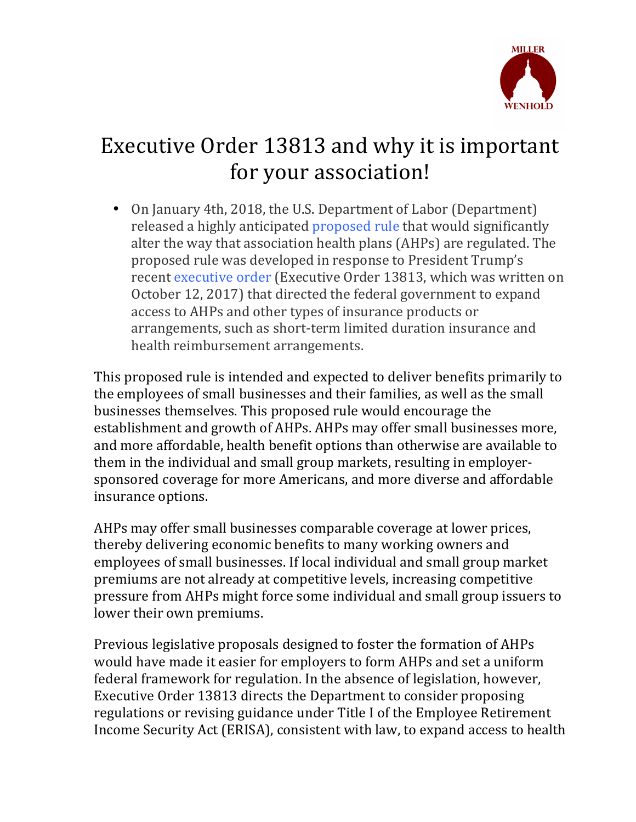

## Executive Order 13813 and why it is important for your association!

• On January 4th, 2018, the U.S. Department of Labor (Department) released a highly anticipated proposed rule that would significantly alter the way that association health plans (AHPs) are regulated. The proposed rule was developed in response to President Trump's recent executive order (Executive Order 13813, which was written on October 12, 2017) that directed the federal government to expand access to AHPs and other types of insurance products or arrangements, such as short-term limited duration insurance and health reimbursement arrangements.

This proposed rule is intended and expected to deliver benefits primarily to the employees of small businesses and their families, as well as the small businesses themselves. This proposed rule would encourage the establishment and growth of AHPs. AHPs may offer small businesses more, and more affordable, health benefit options than otherwise are available to them in the individual and small group markets, resulting in employersponsored coverage for more Americans, and more diverse and affordable insurance options.

AHPs may offer small businesses comparable coverage at lower prices, thereby delivering economic benefits to many working owners and employees of small businesses. If local individual and small group market premiums are not already at competitive levels, increasing competitive pressure from AHPs might force some individual and small group issuers to lower their own premiums.

Previous legislative proposals designed to foster the formation of AHPs would have made it easier for employers to form AHPs and set a uniform federal framework for regulation. In the absence of legislation, however, Executive Order 13813 directs the Department to consider proposing regulations or revising guidance under Title I of the Employee Retirement Income Security Act (ERISA), consistent with law, to expand access to health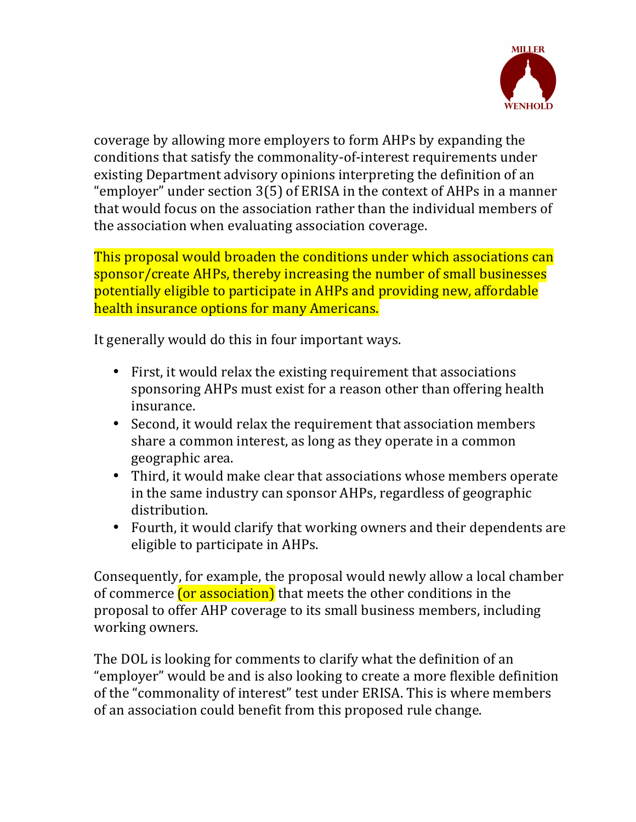

coverage by allowing more employers to form AHPs by expanding the conditions that satisfy the commonality-of-interest requirements under existing Department advisory opinions interpreting the definition of an "employer" under section  $3(5)$  of ERISA in the context of AHPs in a manner that would focus on the association rather than the individual members of the association when evaluating association coverage.

This proposal would broaden the conditions under which associations can sponsor/create AHPs, thereby increasing the number of small businesses potentially eligible to participate in AHPs and providing new, affordable health insurance options for many Americans.

It generally would do this in four important ways.

- First, it would relax the existing requirement that associations sponsoring AHPs must exist for a reason other than offering health insurance.
- Second, it would relax the requirement that association members share a common interest, as long as they operate in a common geographic area.
- Third, it would make clear that associations whose members operate in the same industry can sponsor AHPs, regardless of geographic distribution.
- Fourth, it would clarify that working owners and their dependents are eligible to participate in AHPs.

Consequently, for example, the proposal would newly allow a local chamber of commerce *(or association)* that meets the other conditions in the proposal to offer AHP coverage to its small business members, including working owners.

The DOL is looking for comments to clarify what the definition of an "employer" would be and is also looking to create a more flexible definition of the "commonality of interest" test under ERISA. This is where members of an association could benefit from this proposed rule change.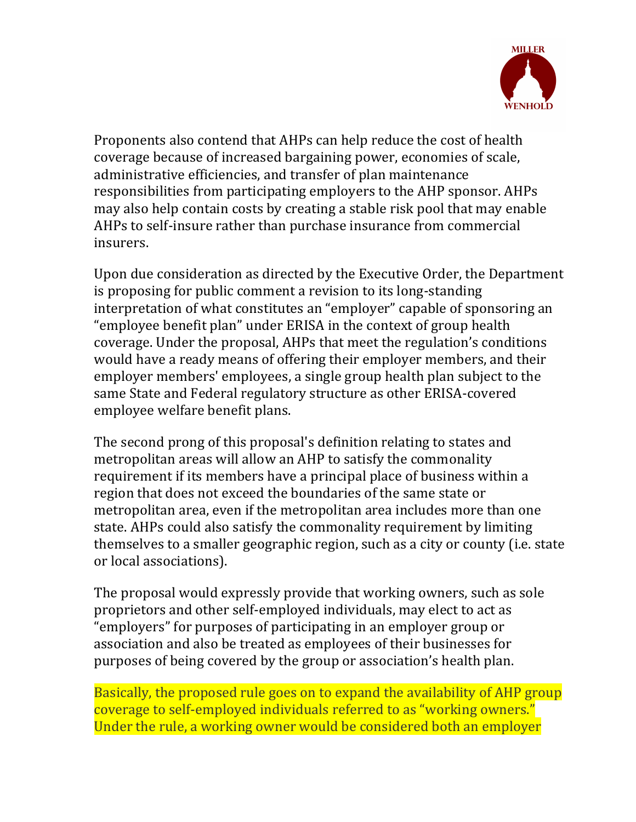

Proponents also contend that AHPs can help reduce the cost of health coverage because of increased bargaining power, economies of scale, administrative efficiencies, and transfer of plan maintenance responsibilities from participating employers to the AHP sponsor. AHPs may also help contain costs by creating a stable risk pool that may enable AHPs to self-insure rather than purchase insurance from commercial insurers. 

Upon due consideration as directed by the Executive Order, the Department is proposing for public comment a revision to its long-standing interpretation of what constitutes an "employer" capable of sponsoring an "employee benefit plan" under ERISA in the context of group health coverage. Under the proposal, AHPs that meet the regulation's conditions would have a ready means of offering their employer members, and their employer members' employees, a single group health plan subject to the same State and Federal regulatory structure as other ERISA-covered employee welfare benefit plans.

The second prong of this proposal's definition relating to states and metropolitan areas will allow an AHP to satisfy the commonality requirement if its members have a principal place of business within a region that does not exceed the boundaries of the same state or metropolitan area, even if the metropolitan area includes more than one state. AHPs could also satisfy the commonality requirement by limiting themselves to a smaller geographic region, such as a city or county (i.e. state or local associations).

The proposal would expressly provide that working owners, such as sole proprietors and other self-employed individuals, may elect to act as "employers" for purposes of participating in an employer group or association and also be treated as employees of their businesses for purposes of being covered by the group or association's health plan.

Basically, the proposed rule goes on to expand the availability of AHP group coverage to self-employed individuals referred to as "working owners." Under the rule, a working owner would be considered both an employer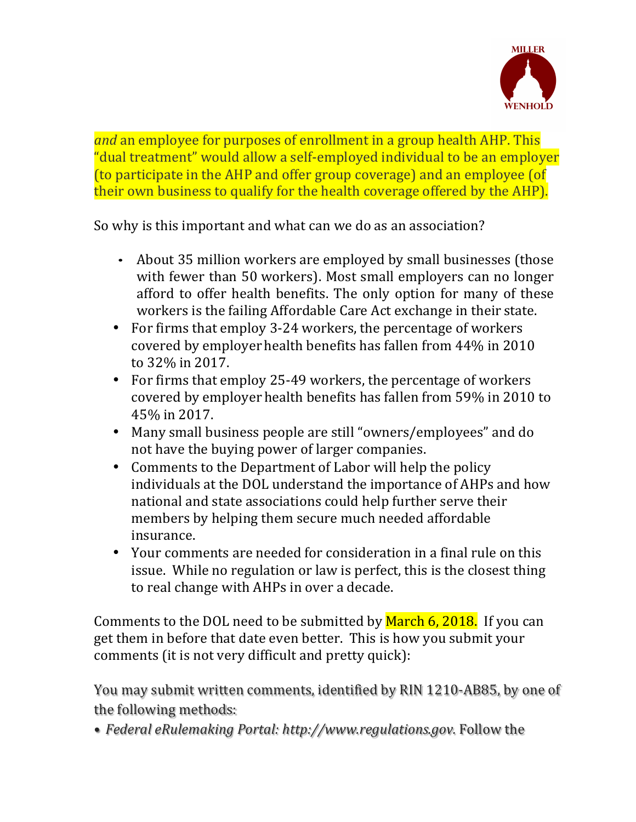

*and* an employee for purposes of enrollment in a group health AHP. This " dual treatment" would allow a self-employed individual to be an employer (to participate in the AHP and offer group coverage) and an employee (of their own business to qualify for the health coverage offered by the AHP).

So why is this important and what can we do as an association?

- About 35 million workers are employed by small businesses (those with fewer than 50 workers). Most small employers can no longer afford to offer health benefits. The only option for many of these workers is the failing Affordable Care Act exchange in their state.
- For firms that employ 3-24 workers, the percentage of workers covered by employer health benefits has fallen from 44% in 2010 to 32% in 2017.
- For firms that employ 25-49 workers, the percentage of workers covered by employer health benefits has fallen from 59% in 2010 to 45% in 2017.
- Many small business people are still "owners/employees" and do not have the buying power of larger companies.
- Comments to the Department of Labor will help the policy individuals at the DOL understand the importance of AHPs and how national and state associations could help further serve their members by helping them secure much needed affordable insurance.
- Your comments are needed for consideration in a final rule on this issue. While no regulation or law is perfect, this is the closest thing to real change with AHPs in over a decade.

Comments to the DOL need to be submitted by March 6, 2018. If you can get them in before that date even better. This is how you submit your comments (it is not very difficult and pretty quick):

You may submit written comments, identified by RIN 1210-AB85, by one of the following methods:

• *Federal eRulemaking Portal: http://www.regulations.gov. Follow the*